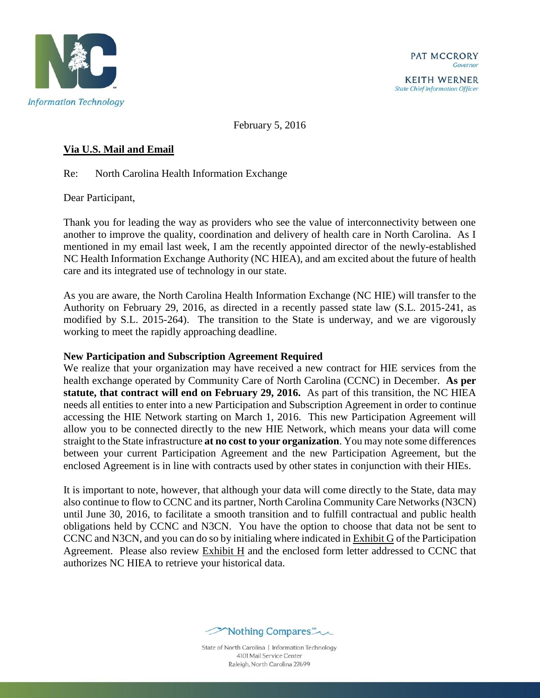

**KEITH WERNER State Chief Information Officer** 

February 5, 2016

# **Via U.S. Mail and Email**

Re: North Carolina Health Information Exchange

Dear Participant,

Thank you for leading the way as providers who see the value of interconnectivity between one another to improve the quality, coordination and delivery of health care in North Carolina. As I mentioned in my email last week, I am the recently appointed director of the newly-established NC Health Information Exchange Authority (NC HIEA), and am excited about the future of health care and its integrated use of technology in our state.

As you are aware, the North Carolina Health Information Exchange (NC HIE) will transfer to the Authority on February 29, 2016, as directed in a recently passed state law (S.L. 2015-241, as modified by S.L. 2015-264). The transition to the State is underway, and we are vigorously working to meet the rapidly approaching deadline.

## **New Participation and Subscription Agreement Required**

We realize that your organization may have received a new contract for HIE services from the health exchange operated by Community Care of North Carolina (CCNC) in December. **As per statute, that contract will end on February 29, 2016.** As part of this transition, the NC HIEA needs all entities to enter into a new Participation and Subscription Agreement in order to continue accessing the HIE Network starting on March 1, 2016. This new Participation Agreement will allow you to be connected directly to the new HIE Network, which means your data will come straight to the State infrastructure **at no cost to your organization**. You may note some differences between your current Participation Agreement and the new Participation Agreement, but the enclosed Agreement is in line with contracts used by other states in conjunction with their HIEs.

It is important to note, however, that although your data will come directly to the State, data may also continue to flow to CCNC and its partner, North Carolina Community Care Networks (N3CN) until June 30, 2016, to facilitate a smooth transition and to fulfill contractual and public health obligations held by CCNC and N3CN. You have the option to choose that data not be sent to CCNC and N3CN, and you can do so by initialing where indicated in Exhibit G of the Participation Agreement. Please also review Exhibit H and the enclosed form letter addressed to CCNC that authorizes NC HIEA to retrieve your historical data.



State of North Carolina | Information Technology 4101 Mail Service Center Raleigh, North Carolina 27699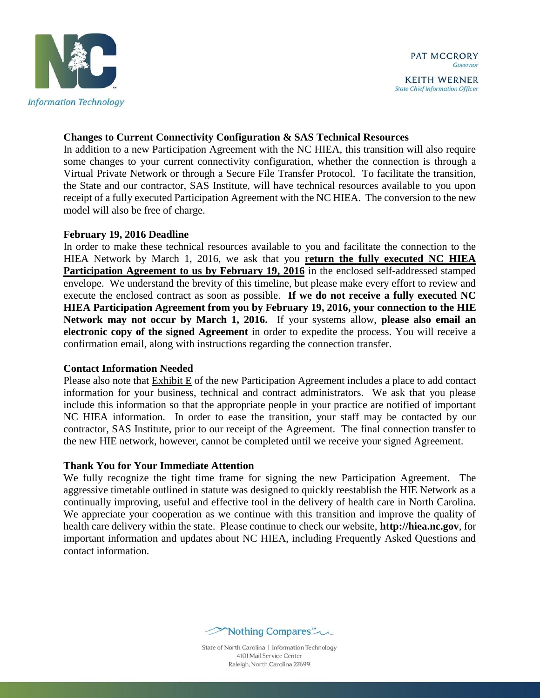

**State Chief Information Officer** 

### **Changes to Current Connectivity Configuration & SAS Technical Resources**

In addition to a new Participation Agreement with the NC HIEA, this transition will also require some changes to your current connectivity configuration, whether the connection is through a Virtual Private Network or through a Secure File Transfer Protocol. To facilitate the transition, the State and our contractor, SAS Institute, will have technical resources available to you upon receipt of a fully executed Participation Agreement with the NC HIEA. The conversion to the new model will also be free of charge.

#### **February 19, 2016 Deadline**

In order to make these technical resources available to you and facilitate the connection to the HIEA Network by March 1, 2016, we ask that you **return the fully executed NC HIEA**  Participation Agreement to us by February 19, 2016 in the enclosed self-addressed stamped envelope. We understand the brevity of this timeline, but please make every effort to review and execute the enclosed contract as soon as possible. **If we do not receive a fully executed NC HIEA Participation Agreement from you by February 19, 2016, your connection to the HIE Network may not occur by March 1, 2016.** If your systems allow, **please also email an electronic copy of the signed Agreement** in order to expedite the process. You will receive a confirmation email, along with instructions regarding the connection transfer.

## **Contact Information Needed**

Please also note that Exhibit E of the new Participation Agreement includes a place to add contact information for your business, technical and contract administrators. We ask that you please include this information so that the appropriate people in your practice are notified of important NC HIEA information. In order to ease the transition, your staff may be contacted by our contractor, SAS Institute, prior to our receipt of the Agreement. The final connection transfer to the new HIE network, however, cannot be completed until we receive your signed Agreement.

## **Thank You for Your Immediate Attention**

We fully recognize the tight time frame for signing the new Participation Agreement. The aggressive timetable outlined in statute was designed to quickly reestablish the HIE Network as a continually improving, useful and effective tool in the delivery of health care in North Carolina. We appreciate your cooperation as we continue with this transition and improve the quality of health care delivery within the state. Please continue to check our website, **http://hiea.nc.gov**, for important information and updates about NC HIEA, including Frequently Asked Questions and contact information.



State of North Carolina | Information Technology 4101 Mail Service Center Raleigh, North Carolina 27699